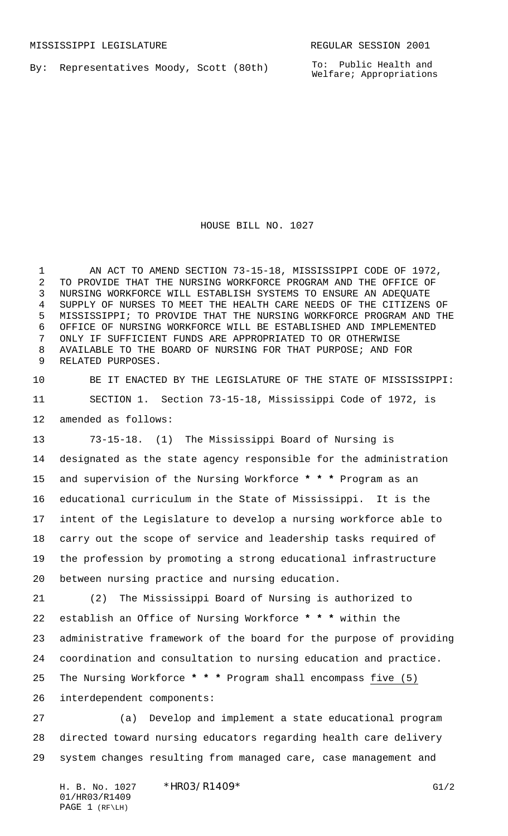By: Representatives Moody, Scott (80th)

HOUSE BILL NO. 1027

 AN ACT TO AMEND SECTION 73-15-18, MISSISSIPPI CODE OF 1972, TO PROVIDE THAT THE NURSING WORKFORCE PROGRAM AND THE OFFICE OF NURSING WORKFORCE WILL ESTABLISH SYSTEMS TO ENSURE AN ADEQUATE SUPPLY OF NURSES TO MEET THE HEALTH CARE NEEDS OF THE CITIZENS OF MISSISSIPPI; TO PROVIDE THAT THE NURSING WORKFORCE PROGRAM AND THE OFFICE OF NURSING WORKFORCE WILL BE ESTABLISHED AND IMPLEMENTED ONLY IF SUFFICIENT FUNDS ARE APPROPRIATED TO OR OTHERWISE AVAILABLE TO THE BOARD OF NURSING FOR THAT PURPOSE; AND FOR RELATED PURPOSES.

 BE IT ENACTED BY THE LEGISLATURE OF THE STATE OF MISSISSIPPI: SECTION 1. Section 73-15-18, Mississippi Code of 1972, is amended as follows:

 73-15-18. (1) The Mississippi Board of Nursing is designated as the state agency responsible for the administration and supervision of the Nursing Workforce **\* \* \*** Program as an educational curriculum in the State of Mississippi. It is the intent of the Legislature to develop a nursing workforce able to carry out the scope of service and leadership tasks required of the profession by promoting a strong educational infrastructure between nursing practice and nursing education.

 (2) The Mississippi Board of Nursing is authorized to establish an Office of Nursing Workforce **\* \* \*** within the administrative framework of the board for the purpose of providing coordination and consultation to nursing education and practice. The Nursing Workforce **\* \* \*** Program shall encompass five (5)

interdependent components:

 (a) Develop and implement a state educational program directed toward nursing educators regarding health care delivery system changes resulting from managed care, case management and

H. B. No. 1027 \* HRO3/R1409\* G1/2 01/HR03/R1409 PAGE 1 (RF\LH)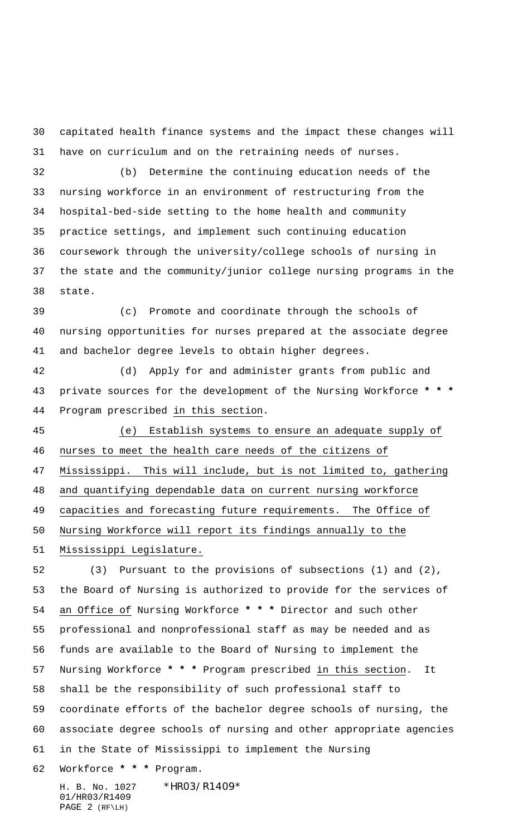capitated health finance systems and the impact these changes will have on curriculum and on the retraining needs of nurses.

 (b) Determine the continuing education needs of the nursing workforce in an environment of restructuring from the hospital-bed-side setting to the home health and community practice settings, and implement such continuing education coursework through the university/college schools of nursing in the state and the community/junior college nursing programs in the state.

 (c) Promote and coordinate through the schools of nursing opportunities for nurses prepared at the associate degree and bachelor degree levels to obtain higher degrees.

 (d) Apply for and administer grants from public and private sources for the development of the Nursing Workforce **\* \* \*** Program prescribed in this section.

 (e) Establish systems to ensure an adequate supply of nurses to meet the health care needs of the citizens of Mississippi. This will include, but is not limited to, gathering and quantifying dependable data on current nursing workforce

capacities and forecasting future requirements. The Office of

Nursing Workforce will report its findings annually to the

Mississippi Legislature.

 (3) Pursuant to the provisions of subsections (1) and (2), the Board of Nursing is authorized to provide for the services of an Office of Nursing Workforce **\* \* \*** Director and such other professional and nonprofessional staff as may be needed and as funds are available to the Board of Nursing to implement the Nursing Workforce **\* \* \*** Program prescribed in this section. It shall be the responsibility of such professional staff to coordinate efforts of the bachelor degree schools of nursing, the associate degree schools of nursing and other appropriate agencies in the State of Mississippi to implement the Nursing Workforce **\* \* \*** Program.

H. B. No. 1027 \* HRO3/R1409\* 01/HR03/R1409 PAGE 2 (RF\LH)